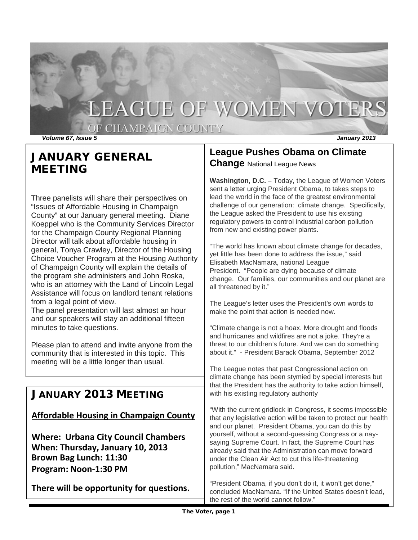# LEAGUE OF WOMEN VOTERS

OF CHAMPAIGN COUNTY

*Volume 67, Issue 5 January 2013*

# JANUARY GENERAL MEETING

Three panelists will share their perspectives on "Issues of Affordable Housing in Champaign County" at our January general meeting. Diane Koeppel who is the Community Services Director for the Champaign County Regional Planning Director will talk about affordable housing in general, Tonya Crawley, Director of the Housing Choice Voucher Program at the Housing Authority of Champaign County will explain the details of the program she administers and John Roska, who is an attorney with the Land of Lincoln Legal Assistance will focus on landlord tenant relations from a legal point of view.

The panel presentation will last almost an hour and our speakers will stay an additional fifteen minutes to take questions.

Please plan to attend and invite anyone from the community that is interested in this topic. This meeting will be a little longer than usual.

## JANUARY 2013 MEETING

#### **Affordable Housing in Champaign County**

**Where: Urbana City Council Chambers When: Thursday, January 10, 2013 Brown Bag Lunch: 11:30 Program: Noon-1:30 PM**

**There will be opportunity for questions.**

#### **League Pushes Obama on Climate Change** National League News

**Washington, D.C. –** Today, the League of Women Voters sent a [letter](http://www.lwv.org/content/league-calls-president-obama-lead-climate-change-fight) urging President Obama, to takes steps to lead the world in the face of the greatest environmental challenge of our generation: climate change. Specifically, the League asked the President to use his existing regulatory powers to control industrial carbon pollution from new and existing power plants.

"The world has known about climate change for decades, yet little has been done to address the issue," said Elisabeth MacNamara, national League President. "People are dying because of climate change. Our families, our communities and our planet are all threatened by it."

The League's letter uses the President's own words to make the point that action is needed now.

"Climate change is not a hoax. More drought and floods and hurricanes and wildfires are not a joke. They're a threat to our children's future. And we can do something about it." - President Barack Obama, September 2012

The League notes that past Congressional action on climate change has been stymied by special interests but that the President has the authority to take action himself, with his existing regulatory authority

"With the current gridlock in Congress, it seems impossible that any legislative action will be taken to protect our health and our planet. President Obama, you can do this by yourself, without a second-guessing Congress or a naysaying Supreme Court. In fact, the Supreme Court has already said that the Administration can move forward under the Clean Air Act to cut this life-threatening pollution," MacNamara said.

"President Obama, if you don't do it, it won't get done," concluded MacNamara. "If the United States doesn't lead, the rest of the world cannot follow."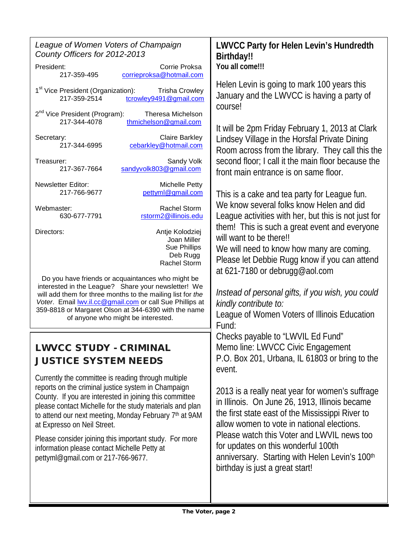| League of Women Voters of Champaign<br>County Officers for 2012-2013                                                                                                                                                                                                                                                                   | <b>LWVCC Pa</b><br><b>Birthday!!</b>                                 |
|----------------------------------------------------------------------------------------------------------------------------------------------------------------------------------------------------------------------------------------------------------------------------------------------------------------------------------------|----------------------------------------------------------------------|
| President:<br>Corrie Proksa<br>corrieproksa@hotmail.com<br>217-359-495                                                                                                                                                                                                                                                                 | You all come                                                         |
| 1 <sup>st</sup> Vice President (Organization):<br><b>Trisha Crowley</b><br>217-359-2514<br>tcrowley9491@gmail.com                                                                                                                                                                                                                      | <b>Helen Levin</b><br>January and<br>course!                         |
| 2 <sup>nd</sup> Vice President (Program):<br><b>Theresa Michelson</b><br>217-344-4078<br>thmichelson@gmail.com                                                                                                                                                                                                                         |                                                                      |
| <b>Claire Barkley</b><br>Secretary:<br>217-344-6995<br>cebarkley@hotmail.com                                                                                                                                                                                                                                                           | It will be 2pr<br>Lindsey Villa<br>Room acros                        |
| Sandy Volk<br>Treasurer:<br>sandyvolk803@gmail.com<br>217-367-7664                                                                                                                                                                                                                                                                     | second floor<br>front main e                                         |
| <b>Newsletter Editor:</b><br><b>Michelle Petty</b><br>217-766-9677<br>pettyml@gmail.com                                                                                                                                                                                                                                                | This is a cal                                                        |
| Webmaster:<br>Rachel Storm<br>630-677-7791<br>rstorm2@illinois.edu                                                                                                                                                                                                                                                                     | We know se<br>League acti                                            |
| Directors:<br>Antje Kolodziej<br>Joan Miller<br><b>Sue Phillips</b><br>Deb Rugg<br>Rachel Storm                                                                                                                                                                                                                                        | them! This<br>will want to<br>We will nee<br>Please let D            |
| Do you have friends or acquaintances who might be<br>interested in the League? Share your newsletter! We<br>will add them for three months to the mailing list for the<br>Voter. Email <b>WV.il.cc@gmail.com</b> or call Sue Phillips at<br>359-8818 or Margaret Olson at 344-6390 with the name<br>of anyone who might be interested. | at 621-7180<br>Instead of p<br>kindly contr.<br>League of V<br>Fund: |
| <b>LWVCC STUDY - CRIMINAL</b><br><b>JUSTICE SYSTEM NEEDS</b>                                                                                                                                                                                                                                                                           | Checks pay<br>Memo line:<br>P.O. Box 20<br>event.                    |
| Currently the committee is reading through multiple<br>reports on the criminal justice system in Champaign<br>County. If you are interested in joining this committee<br>please contact Michelle for the study materials and plan<br>to attend our next meeting, Monday February 7th at 9AM<br>at Expresso on Neil Street.             | 2013 is a re<br>in Illinois. C<br>the first stat<br>allow wome       |
| Please consider joining this important study. For more<br>information please contact Michelle Petty at<br>pettyml@gmail.com or 217-766-9677.                                                                                                                                                                                           | Please wato<br>for updates<br>anniversary                            |

# **Letter France Component Fighter**  $\mathbf{III}$

is going to mark 100 years this d the LWVCC is having a party of

m Friday February 1, 2013 at Clark age in the Horsfal Private Dining ss from the library. They call this the r; I call it the main floor because the entrance is on same floor.

ke and tea party for League fun. everal folks know Helen and did vities with her, but this is not just for is such a great event and everyone be there!! d to know how many are coming. Debbie Rugg know if you can attend or [debrugg@aol.com](mailto:debrugg@aol.com)

*Instead of personal gifts, if you wish, you could kindly contribute to:*

Vomen Voters of Illinois Education

able to "LWVIL Ed Fund" LWVCC Civic Engagement 01, Urbana, IL 61803 or bring to the

ally neat year for women's suffrage In June 26, 1913, Illinois became te east of the Mississippi River to n to vote in national elections. ch this Voter and LWVIL news too on this wonderful 100th . Starting with Helen Levin's 100<sup>th</sup> birthday is just a great start!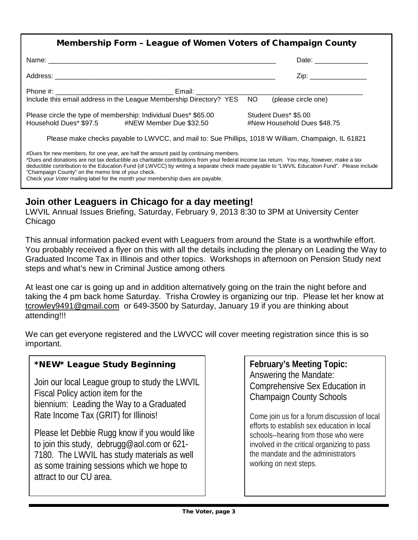| Membership Form - League of Women Voters of Champaign County                                                                                                                                                                                                                                                                                                                                                                                                                                                                   |                             |  |
|--------------------------------------------------------------------------------------------------------------------------------------------------------------------------------------------------------------------------------------------------------------------------------------------------------------------------------------------------------------------------------------------------------------------------------------------------------------------------------------------------------------------------------|-----------------------------|--|
|                                                                                                                                                                                                                                                                                                                                                                                                                                                                                                                                | Date: _______________       |  |
|                                                                                                                                                                                                                                                                                                                                                                                                                                                                                                                                | Zip: ___________________    |  |
|                                                                                                                                                                                                                                                                                                                                                                                                                                                                                                                                |                             |  |
| Include this email address in the League Membership Directory? YES NO                                                                                                                                                                                                                                                                                                                                                                                                                                                          | (please circle one)         |  |
| Please circle the type of membership: Individual Dues* \$65.00                                                                                                                                                                                                                                                                                                                                                                                                                                                                 | Student Dues* \$5.00        |  |
| Household Dues* \$97.5 #NEW Member Due \$32.50                                                                                                                                                                                                                                                                                                                                                                                                                                                                                 | #New Household Dues \$48.75 |  |
| Please make checks payable to LWVCC, and mail to: Sue Phillips, 1018 W William, Champaign, IL 61821                                                                                                                                                                                                                                                                                                                                                                                                                            |                             |  |
| #Dues for new members, for one year, are half the amount paid by continuing members.<br>*Dues and donations are not tax deductible as charitable contributions from your federal income tax return. You may, however, make a tax<br>deductible contribution to the Education Fund (of LWVCC) by writing a separate check made payable to "LWVIL Education Fund". Please include<br>"Champaign County" on the memo line of your check.<br>Check your <i>Voter</i> mailing label for the month your membership dues are payable. |                             |  |

### **Join other Leaguers in Chicago for a day meeting!**

LWVIL Annual Issues Briefing, Saturday, February 9, 2013 8:30 to 3PM at University Center **Chicago** 

This annual information packed event with Leaguers from around the State is a worthwhile effort. You probably received a flyer on this with all the details including the plenary on Leading the Way to Graduated Income Tax in Illinois and other topics. Workshops in afternoon on Pension Study next steps and what's new in Criminal Justice among others

At least one car is going up and in addition alternatively going on the train the night before and taking the 4 pm back home Saturday. Trisha Crowley is organizing our trip. Please let her know at [tcrowley9491@gmail.com](mailto:tcrowley9491@gmail.com) or 649-3500 by Saturday, January 19 if you are thinking about attending!!!

We can get everyone registered and the LWVCC will cover meeting registration since this is so important.

#### \*NEW\* League Study Beginning

Join our local League group to study the LWVIL Fiscal Policy action item for the biennium: Leading the Way to a Graduated Rate Income Tax (GRIT) for Illinois!

Please let Debbie Rugg know if you would like to join this study, debrugg@aol.com or 621- 7180. The LWVIL has study materials as well as some training sessions which we hope to attract to our CU area.

**February's Meeting Topic:** Answering the Mandate: Comprehensive Sex Education in Champaign County Schools

Come join us for a forum discussion of local efforts to establish sex education in local schools--hearing from those who were involved in the critical organizing to pass the mandate and the administrators working on next steps.